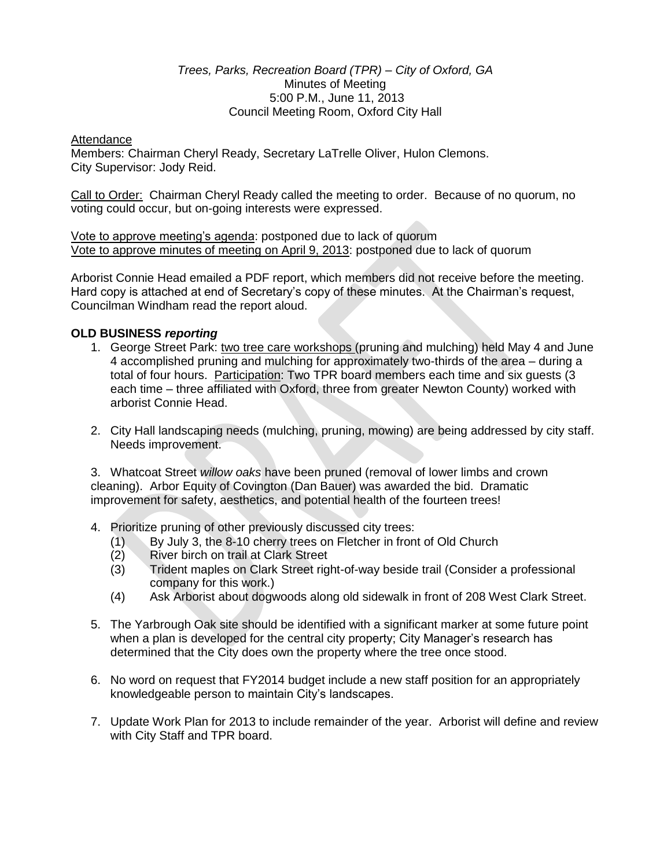#### *Trees, Parks, Recreation Board (TPR) – City of Oxford, GA* Minutes of Meeting 5:00 P.M., June 11, 2013 Council Meeting Room, Oxford City Hall

#### Attendance

Members: Chairman Cheryl Ready, Secretary LaTrelle Oliver, Hulon Clemons. City Supervisor: Jody Reid.

Call to Order: Chairman Cheryl Ready called the meeting to order. Because of no quorum, no voting could occur, but on-going interests were expressed.

Vote to approve meeting's agenda: postponed due to lack of quorum Vote to approve minutes of meeting on April 9, 2013: postponed due to lack of quorum

Arborist Connie Head emailed a PDF report, which members did not receive before the meeting. Hard copy is attached at end of Secretary's copy of these minutes. At the Chairman's request, Councilman Windham read the report aloud.

## **OLD BUSINESS** *reporting*

- 1. George Street Park: two tree care workshops (pruning and mulching) held May 4 and June 4 accomplished pruning and mulching for approximately two-thirds of the area – during a total of four hours. Participation: Two TPR board members each time and six guests (3 each time – three affiliated with Oxford, three from greater Newton County) worked with arborist Connie Head.
- 2. City Hall landscaping needs (mulching, pruning, mowing) are being addressed by city staff. Needs improvement.

3. Whatcoat Street *willow oaks* have been pruned (removal of lower limbs and crown cleaning). Arbor Equity of Covington (Dan Bauer) was awarded the bid. Dramatic improvement for safety, aesthetics, and potential health of the fourteen trees!

- 4. Prioritize pruning of other previously discussed city trees:
	- (1) By July 3, the 8-10 cherry trees on Fletcher in front of Old Church
	- (2) River birch on trail at Clark Street
	- (3) Trident maples on Clark Street right-of-way beside trail (Consider a professional company for this work.)
	- (4) Ask Arborist about dogwoods along old sidewalk in front of 208 West Clark Street.
- 5. The Yarbrough Oak site should be identified with a significant marker at some future point when a plan is developed for the central city property; City Manager's research has determined that the City does own the property where the tree once stood.
- 6. No word on request that FY2014 budget include a new staff position for an appropriately knowledgeable person to maintain City's landscapes.
- 7. Update Work Plan for 2013 to include remainder of the year. Arborist will define and review with City Staff and TPR board.